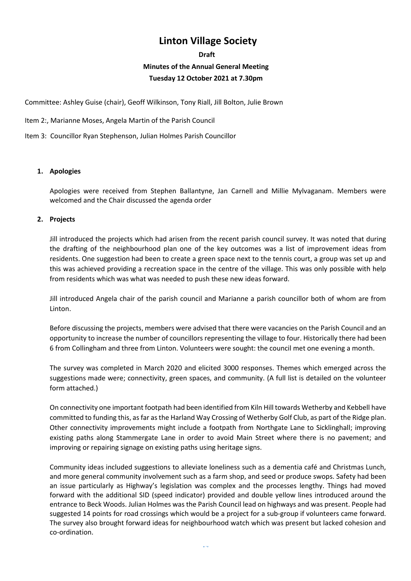# **Linton Village Society**

#### **Draft**

# **Minutes of the Annual General Meeting**

# **Tuesday 12 October 2021 at 7.30pm**

Committee: Ashley Guise (chair), Geoff Wilkinson, Tony Riall, Jill Bolton, Julie Brown

Item 2:, Marianne Moses, Angela Martin of the Parish Council

Item 3: Councillor Ryan Stephenson, Julian Holmes Parish Councillor

# **1. Apologies**

Apologies were received from Stephen Ballantyne, Jan Carnell and Millie Mylvaganam. Members were welcomed and the Chair discussed the agenda order

# **2. Projects**

Jill introduced the projects which had arisen from the recent parish council survey. It was noted that during the drafting of the neighbourhood plan one of the key outcomes was a list of improvement ideas from residents. One suggestion had been to create a green space next to the tennis court, a group was set up and this was achieved providing a recreation space in the centre of the village. This was only possible with help from residents which was what was needed to push these new ideas forward.

Jill introduced Angela chair of the parish council and Marianne a parish councillor both of whom are from **Linton** 

Before discussing the projects, members were advised that there were vacancies on the Parish Council and an opportunity to increase the number of councillors representing the village to four. Historically there had been 6 from Collingham and three from Linton. Volunteers were sought: the council met one evening a month.

The survey was completed in March 2020 and elicited 3000 responses. Themes which emerged across the suggestions made were; connectivity, green spaces, and community. (A full list is detailed on the volunteer form attached.)

On connectivity one important footpath had been identified from Kiln Hill towards Wetherby and Kebbell have committed to funding this, as far as the Harland Way Crossing of Wetherby Golf Club, as part of the Ridge plan. Other connectivity improvements might include a footpath from Northgate Lane to Sicklinghall; improving existing paths along Stammergate Lane in order to avoid Main Street where there is no pavement; and improving or repairing signage on existing paths using heritage signs.

Community ideas included suggestions to alleviate loneliness such as a dementia café and Christmas Lunch, and more general community involvement such as a farm shop, and seed or produce swops. Safety had been an issue particularly as Highway's legislation was complex and the processes lengthy. Things had moved forward with the additional SID (speed indicator) provided and double yellow lines introduced around the entrance to Beck Woods. Julian Holmes was the Parish Council lead on highways and was present. People had suggested 14 points for road crossings which would be a project for a sub-group if volunteers came forward. The survey also brought forward ideas for neighbourhood watch which was present but lacked cohesion and co-ordination.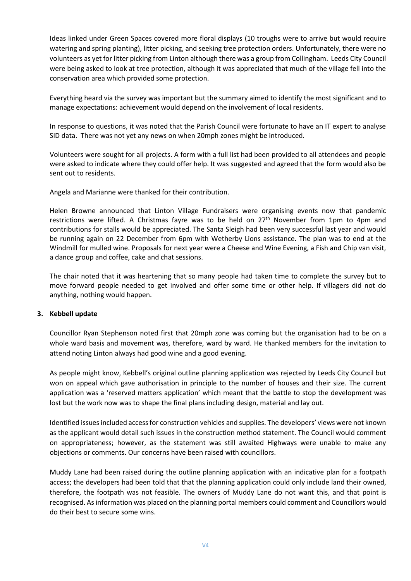Ideas linked under Green Spaces covered more floral displays (10 troughs were to arrive but would require watering and spring planting), litter picking, and seeking tree protection orders. Unfortunately, there were no volunteers as yet for litter picking from Linton although there was a group from Collingham. Leeds City Council were being asked to look at tree protection, although it was appreciated that much of the village fell into the conservation area which provided some protection.

Everything heard via the survey was important but the summary aimed to identify the most significant and to manage expectations: achievement would depend on the involvement of local residents.

In response to questions, it was noted that the Parish Council were fortunate to have an IT expert to analyse SID data. There was not yet any news on when 20mph zones might be introduced.

Volunteers were sought for all projects. A form with a full list had been provided to all attendees and people were asked to indicate where they could offer help. It was suggested and agreed that the form would also be sent out to residents.

Angela and Marianne were thanked for their contribution.

Helen Browne announced that Linton Village Fundraisers were organising events now that pandemic restrictions were lifted. A Christmas fayre was to be held on 27<sup>th</sup> November from 1pm to 4pm and contributions for stalls would be appreciated. The Santa Sleigh had been very successful last year and would be running again on 22 December from 6pm with Wetherby Lions assistance. The plan was to end at the Windmill for mulled wine. Proposals for next year were a Cheese and Wine Evening, a Fish and Chip van visit, a dance group and coffee, cake and chat sessions.

The chair noted that it was heartening that so many people had taken time to complete the survey but to move forward people needed to get involved and offer some time or other help. If villagers did not do anything, nothing would happen.

#### **3. Kebbell update**

Councillor Ryan Stephenson noted first that 20mph zone was coming but the organisation had to be on a whole ward basis and movement was, therefore, ward by ward. He thanked members for the invitation to attend noting Linton always had good wine and a good evening.

As people might know, Kebbell's original outline planning application was rejected by Leeds City Council but won on appeal which gave authorisation in principle to the number of houses and their size. The current application was a 'reserved matters application' which meant that the battle to stop the development was lost but the work now was to shape the final plans including design, material and lay out.

Identified issues included access for construction vehicles and supplies. The developers' views were not known as the applicant would detail such issues in the construction method statement. The Council would comment on appropriateness; however, as the statement was still awaited Highways were unable to make any objections or comments. Our concerns have been raised with councillors.

Muddy Lane had been raised during the outline planning application with an indicative plan for a footpath access; the developers had been told that that the planning application could only include land their owned, therefore, the footpath was not feasible. The owners of Muddy Lane do not want this, and that point is recognised. Asinformation was placed on the planning portal members could comment and Councillors would do their best to secure some wins.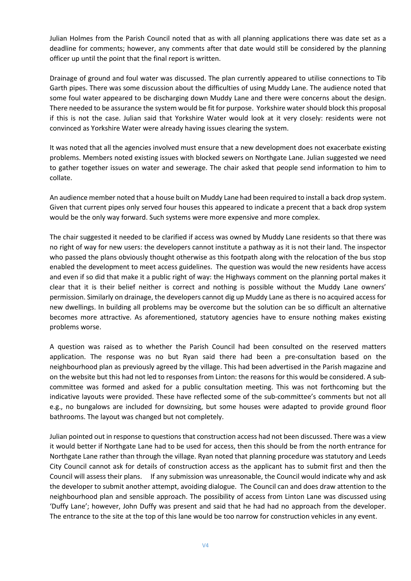Julian Holmes from the Parish Council noted that as with all planning applications there was date set as a deadline for comments; however, any comments after that date would still be considered by the planning officer up until the point that the final report is written.

Drainage of ground and foul water was discussed. The plan currently appeared to utilise connections to Tib Garth pipes. There was some discussion about the difficulties of using Muddy Lane. The audience noted that some foul water appeared to be discharging down Muddy Lane and there were concerns about the design. There needed to be assurance the system would be fit for purpose. Yorkshire water should block this proposal if this is not the case. Julian said that Yorkshire Water would look at it very closely: residents were not convinced as Yorkshire Water were already having issues clearing the system.

It was noted that all the agencies involved must ensure that a new development does not exacerbate existing problems. Members noted existing issues with blocked sewers on Northgate Lane. Julian suggested we need to gather together issues on water and sewerage. The chair asked that people send information to him to collate.

An audience member noted that a house built on Muddy Lane had been required to install a back drop system. Given that current pipes only served four houses this appeared to indicate a precent that a back drop system would be the only way forward. Such systems were more expensive and more complex.

The chair suggested it needed to be clarified if access was owned by Muddy Lane residents so that there was no right of way for new users: the developers cannot institute a pathway as it is not their land. The inspector who passed the plans obviously thought otherwise as this footpath along with the relocation of the bus stop enabled the development to meet access guidelines. The question was would the new residents have access and even if so did that make it a public right of way: the Highways comment on the planning portal makes it clear that it is their belief neither is correct and nothing is possible without the Muddy Lane owners' permission. Similarly on drainage, the developers cannot dig up Muddy Lane as there is no acquired access for new dwellings. In building all problems may be overcome but the solution can be so difficult an alternative becomes more attractive. As aforementioned, statutory agencies have to ensure nothing makes existing problems worse.

A question was raised as to whether the Parish Council had been consulted on the reserved matters application. The response was no but Ryan said there had been a pre-consultation based on the neighbourhood plan as previously agreed by the village. This had been advertised in the Parish magazine and on the website but this had not led to responses from Linton: the reasons for this would be considered. A subcommittee was formed and asked for a public consultation meeting. This was not forthcoming but the indicative layouts were provided. These have reflected some of the sub-committee's comments but not all e.g., no bungalows are included for downsizing, but some houses were adapted to provide ground floor bathrooms. The layout was changed but not completely.

Julian pointed out in response to questions that construction access had not been discussed. There was a view it would better if Northgate Lane had to be used for access, then this should be from the north entrance for Northgate Lane rather than through the village. Ryan noted that planning procedure was statutory and Leeds City Council cannot ask for details of construction access as the applicant has to submit first and then the Council will assess their plans. If any submission was unreasonable, the Council would indicate why and ask the developer to submit another attempt, avoiding dialogue. The Council can and does draw attention to the neighbourhood plan and sensible approach. The possibility of access from Linton Lane was discussed using 'Duffy Lane'; however, John Duffy was present and said that he had had no approach from the developer. The entrance to the site at the top of this lane would be too narrow for construction vehicles in any event.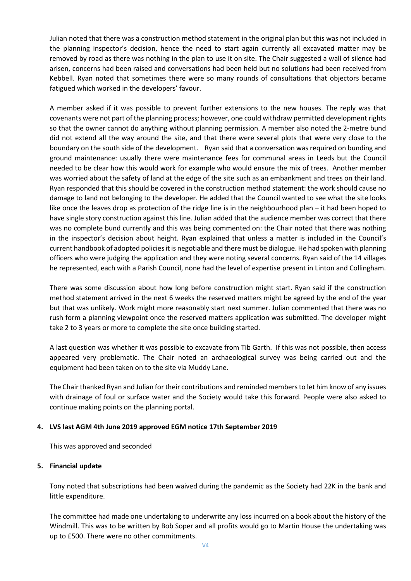Julian noted that there was a construction method statement in the original plan but this was not included in the planning inspector's decision, hence the need to start again currently all excavated matter may be removed by road as there was nothing in the plan to use it on site. The Chair suggested a wall of silence had arisen, concerns had been raised and conversations had been held but no solutions had been received from Kebbell. Ryan noted that sometimes there were so many rounds of consultations that objectors became fatigued which worked in the developers' favour.

A member asked if it was possible to prevent further extensions to the new houses. The reply was that covenants were not part of the planning process; however, one could withdraw permitted development rights so that the owner cannot do anything without planning permission. A member also noted the 2-metre bund did not extend all the way around the site, and that there were several plots that were very close to the boundary on the south side of the development. Ryan said that a conversation was required on bunding and ground maintenance: usually there were maintenance fees for communal areas in Leeds but the Council needed to be clear how this would work for example who would ensure the mix of trees. Another member was worried about the safety of land at the edge of the site such as an embankment and trees on their land. Ryan responded that this should be covered in the construction method statement: the work should cause no damage to land not belonging to the developer. He added that the Council wanted to see what the site looks like once the leaves drop as protection of the ridge line is in the neighbourhood plan – it had been hoped to have single story construction against this line. Julian added that the audience member was correct that there was no complete bund currently and this was being commented on: the Chair noted that there was nothing in the inspector's decision about height. Ryan explained that unless a matter is included in the Council's current handbook of adopted policiesit is negotiable and there must be dialogue. He had spoken with planning officers who were judging the application and they were noting several concerns. Ryan said of the 14 villages he represented, each with a Parish Council, none had the level of expertise present in Linton and Collingham.

There was some discussion about how long before construction might start. Ryan said if the construction method statement arrived in the next 6 weeks the reserved matters might be agreed by the end of the year but that was unlikely. Work might more reasonably start next summer. Julian commented that there was no rush form a planning viewpoint once the reserved matters application was submitted. The developer might take 2 to 3 years or more to complete the site once building started.

A last question was whether it was possible to excavate from Tib Garth. If this was not possible, then access appeared very problematic. The Chair noted an archaeological survey was being carried out and the equipment had been taken on to the site via Muddy Lane.

The Chair thanked Ryan and Julian for their contributions and reminded members to let him know of any issues with drainage of foul or surface water and the Society would take this forward. People were also asked to continue making points on the planning portal.

#### **4. LVS last AGM 4th June 2019 approved EGM notice 17th September 2019**

This was approved and seconded

#### **5. Financial update**

Tony noted that subscriptions had been waived during the pandemic as the Society had 22K in the bank and little expenditure.

The committee had made one undertaking to underwrite any loss incurred on a book about the history of the Windmill. This was to be written by Bob Soper and all profits would go to Martin House the undertaking was up to £500. There were no other commitments.